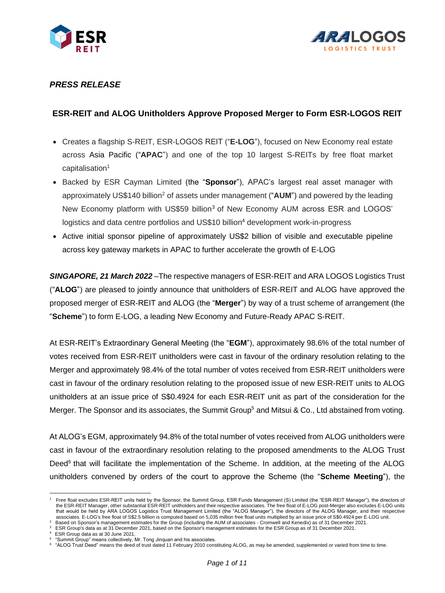



# *PRESS RELEASE*

## **ESR-REIT and ALOG Unitholders Approve Proposed Merger to Form ESR-LOGOS REIT**

- Creates a flagship S-REIT, ESR-LOGOS REIT ("**E-LOG**"), focused on New Economy real estate across Asia Pacific ("**APAC**") and one of the top 10 largest S-REITs by free float market capitalisation<sup>1</sup>
- Backed by ESR Cayman Limited (the "**Sponsor**"), APAC's largest real asset manager with approximately US\$140 billion<sup>2</sup> of assets under management ("**AUM**") and powered by the leading New Economy platform with US\$59 billion<sup>3</sup> of New Economy AUM across ESR and LOGOS' logistics and data centre portfolios and US\$10 billion<sup>4</sup> development work-in-progress
- Active initial sponsor pipeline of approximately US\$2 billion of visible and executable pipeline across key gateway markets in APAC to further accelerate the growth of E-LOG

*SINGAPORE, 21 March 2022* –The respective managers of ESR-REIT and ARA LOGOS Logistics Trust ("**ALOG**") are pleased to jointly announce that unitholders of ESR-REIT and ALOG have approved the proposed merger of ESR-REIT and ALOG (the "**Merger**") by way of a trust scheme of arrangement (the "**Scheme**") to form E-LOG, a leading New Economy and Future-Ready APAC S-REIT.

At ESR-REIT's Extraordinary General Meeting (the "**EGM**"), approximately 98.6% of the total number of votes received from ESR-REIT unitholders were cast in favour of the ordinary resolution relating to the Merger and approximately 98.4% of the total number of votes received from ESR-REIT unitholders were cast in favour of the ordinary resolution relating to the proposed issue of new ESR-REIT units to ALOG unitholders at an issue price of S\$0.4924 for each ESR-REIT unit as part of the consideration for the Merger. The Sponsor and its associates, the Summit Group<sup>5</sup> and Mitsui & Co., Ltd abstained from voting.

At ALOG's EGM, approximately 94.8% of the total number of votes received from ALOG unitholders were cast in favour of the extraordinary resolution relating to the proposed amendments to the ALOG Trust Deed<sup>6</sup> that will facilitate the implementation of the Scheme. In addition, at the meeting of the ALOG unitholders convened by orders of the court to approve the Scheme (the "**Scheme Meeting**"), the

<sup>1</sup> Free float excludes ESR-REIT units held by the Sponsor, the Summit Group, ESR Funds Management (S) Limited (the "ESR-REIT Manager"), the directors of the ESR-REIT Manager, other substantial ESR-REIT unitholders and their respective associates. The free float of E-LOG post-Merger also excludes E-LOG units that would be held by ARA LOGOS Logistics Trust Management Limited (the "ALOG Manager"), the directors of the ALOG Manager, and their respective associates. E-LOG's free float of S\$2.5 billion is computed based on 5,035 million free float units multiplied by an issue price of S\$0.4924 per E-LOG unit.

<sup>2</sup> Based on Sponsor's management estimates for the Group (including the AUM of associates - Cromwell and Kenedix) as of 31 December 2021.  $3$  ESR Group's data as at 31 December 2021, based on the Sponsor's management estimates for the ESR Group as of 31 December 2021.

ESR Group data as at 30 June 2021.

<sup>&</sup>lt;sup>5</sup> "Summit Group" means collectively, Mr. Tong Jinquan and his associates.

<sup>6 &</sup>quot;ALOG Trust Deed" means the deed of trust dated 11 February 2010 constituting ALOG, as may be amended, supplemented or varied from time to time.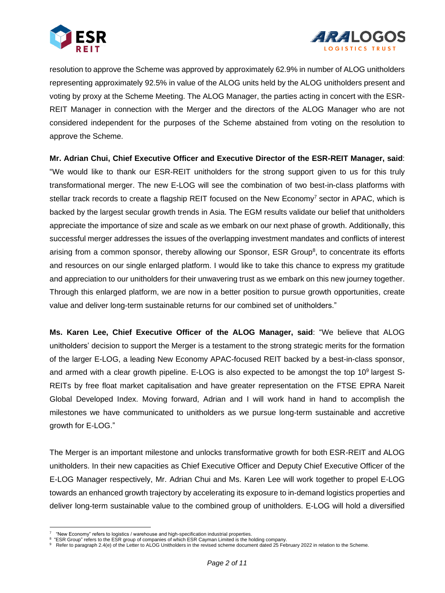



resolution to approve the Scheme was approved by approximately 62.9% in number of ALOG unitholders representing approximately 92.5% in value of the ALOG units held by the ALOG unitholders present and voting by proxy at the Scheme Meeting. The ALOG Manager, the parties acting in concert with the ESR-REIT Manager in connection with the Merger and the directors of the ALOG Manager who are not considered independent for the purposes of the Scheme abstained from voting on the resolution to approve the Scheme.

**Mr. Adrian Chui, Chief Executive Officer and Executive Director of the ESR-REIT Manager, said**: "We would like to thank our ESR-REIT unitholders for the strong support given to us for this truly transformational merger. The new E-LOG will see the combination of two best-in-class platforms with stellar track records to create a flagship REIT focused on the New Economy<sup>7</sup> sector in APAC, which is backed by the largest secular growth trends in Asia. The EGM results validate our belief that unitholders appreciate the importance of size and scale as we embark on our next phase of growth. Additionally, this successful merger addresses the issues of the overlapping investment mandates and conflicts of interest arising from a common sponsor, thereby allowing our Sponsor, ESR Group<sup>8</sup>, to concentrate its efforts and resources on our single enlarged platform. I would like to take this chance to express my gratitude and appreciation to our unitholders for their unwavering trust as we embark on this new journey together. Through this enlarged platform, we are now in a better position to pursue growth opportunities, create value and deliver long-term sustainable returns for our combined set of unitholders."

**Ms. Karen Lee, Chief Executive Officer of the ALOG Manager, said**: "We believe that ALOG unitholders' decision to support the Merger is a testament to the strong strategic merits for the formation of the larger E-LOG, a leading New Economy APAC-focused REIT backed by a best-in-class sponsor, and armed with a clear growth pipeline. E-LOG is also expected to be amongst the top 10<sup>9</sup> largest S-REITs by free float market capitalisation and have greater representation on the FTSE EPRA Nareit Global Developed Index. Moving forward, Adrian and I will work hand in hand to accomplish the milestones we have communicated to unitholders as we pursue long-term sustainable and accretive growth for E-LOG."

The Merger is an important milestone and unlocks transformative growth for both ESR-REIT and ALOG unitholders. In their new capacities as Chief Executive Officer and Deputy Chief Executive Officer of the E-LOG Manager respectively, Mr. Adrian Chui and Ms. Karen Lee will work together to propel E-LOG towards an enhanced growth trajectory by accelerating its exposure to in-demand logistics properties and deliver long-term sustainable value to the combined group of unitholders. E-LOG will hold a diversified

<sup>7</sup>  "New Economy" refers to logistics / warehouse and high-specification industrial properties.

<sup>&</sup>lt;sup>8</sup> "ESR Group" refers to the ESR group of companies of which ESR Cayman Limited is the holding company.

<sup>9</sup> Refer to paragraph 2.4(e) of the Letter to ALOG Unitholders in the revised scheme document dated 25 February 2022 in relation to the Scheme.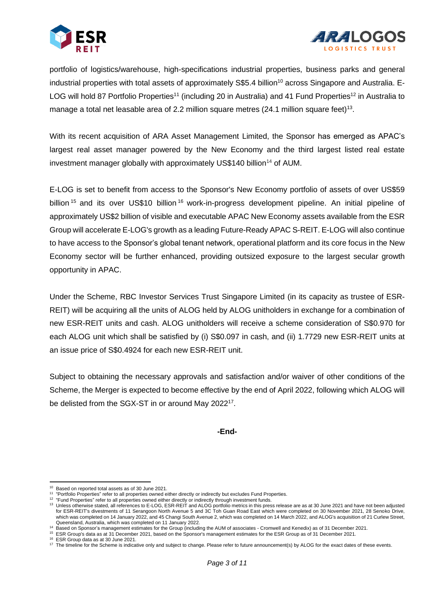



portfolio of logistics/warehouse, high-specifications industrial properties, business parks and general industrial properties with total assets of approximately S\$5.4 billion<sup>10</sup> across Singapore and Australia. E-LOG will hold 87 Portfolio Properties<sup>11</sup> (including 20 in Australia) and 41 Fund Properties<sup>12</sup> in Australia to manage a total net leasable area of 2.2 million square metres (24.1 million square feet)<sup>13</sup>.

With its recent acquisition of ARA Asset Management Limited, the Sponsor has emerged as APAC's largest real asset manager powered by the New Economy and the third largest listed real estate investment manager globally with approximately US\$140 billion<sup>14</sup> of AUM.

E-LOG is set to benefit from access to the Sponsor's New Economy portfolio of assets of over US\$59 billion <sup>15</sup> and its over US\$10 billion <sup>16</sup> work-in-progress development pipeline. An initial pipeline of approximately US\$2 billion of visible and executable APAC New Economy assets available from the ESR Group will accelerate E-LOG's growth as a leading Future-Ready APAC S-REIT. E-LOG will also continue to have access to the Sponsor's global tenant network, operational platform and its core focus in the New Economy sector will be further enhanced, providing outsized exposure to the largest secular growth opportunity in APAC.

Under the Scheme, RBC Investor Services Trust Singapore Limited (in its capacity as trustee of ESR-REIT) will be acquiring all the units of ALOG held by ALOG unitholders in exchange for a combination of new ESR-REIT units and cash. ALOG unitholders will receive a scheme consideration of S\$0.970 for each ALOG unit which shall be satisfied by (i) S\$0.097 in cash, and (ii) 1.7729 new ESR-REIT units at an issue price of S\$0.4924 for each new ESR-REIT unit.

Subject to obtaining the necessary approvals and satisfaction and/or waiver of other conditions of the Scheme, the Merger is expected to become effective by the end of April 2022, following which ALOG will be delisted from the SGX-ST in or around May 2022<sup>17</sup>.

**-End-**

<sup>10</sup> Based on reported total assets as of 30 June 2021.

<sup>&</sup>lt;sup>11</sup> "Portfolio Properties" refer to all properties owned either directly or indirectly but excludes Fund Properties.

<sup>&</sup>lt;sup>12</sup> "Fund Properties" refer to all properties owned either directly or indirectly through investment funds.

<sup>&</sup>lt;sup>13</sup> Unless otherwise stated, all references to E-LOG, ESR-REIT and ALOG portfolio metrics in this press release are as at 30 June 2021 and have not been adjusted for ESR-REIT's divestments of 11 Serangoon North Avenue 5 and 3C Toh Guan Road East which were completed on 30 November 2021, 28 Senoko Drive, which was completed on 14 January 2022, and 45 Changi South Avenue 2, which was completed on 14 March 2022, and ALOG's acquisition of 21 Curlew Street, Queensland, Australia, which was completed on 11 January 2022.

<sup>&</sup>lt;sup>14</sup> Based on Sponsor's management estimates for the Group (including the AUM of associates - Cromwell and Kenedix) as of 31 December 2021.

<sup>15</sup> ESR Group's data as at 31 December 2021, based on the Sponsor's management estimates for the ESR Group as of 31 December 2021.

<sup>&</sup>lt;sup>16</sup> ESR Group data as at 30 June 2021.

<sup>&</sup>lt;sup>17</sup> The timeline for the Scheme is indicative only and subject to change. Please refer to future announcement(s) by ALOG for the exact dates of these events.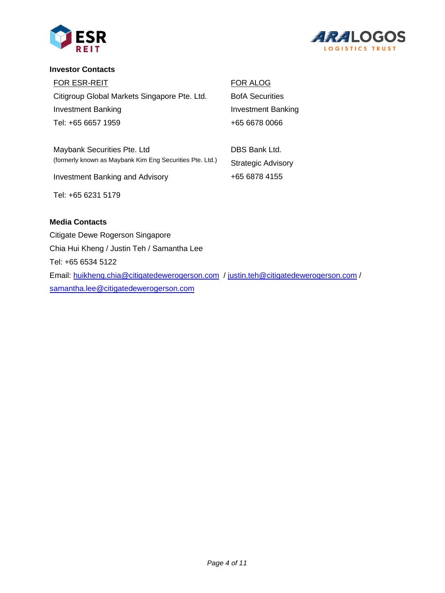



#### **Investor Contacts**

FOR ESR-REIT Citigroup Global Markets Singapore Pte. Ltd. Investment Banking Tel: +65 6657 1959

Maybank Securities Pte. Ltd (formerly known as Maybank Kim Eng Securities Pte. Ltd.)

Investment Banking and Advisory

Tel: +65 6231 5179

## **Media Contacts**

Citigate Dewe Rogerson Singapore Chia Hui Kheng / Justin Teh / Samantha Lee Tel: +65 6534 5122 Email: [huikheng.chia@citigatedewerogerson.com](mailto:huikheng.chia@citigatedewerogerson.com) / [justin.teh@citigatedewerogerson.com](mailto:justin.teh@citigatedewerogerson.com) / [samantha.lee@citigatedewerogerson.com](mailto:samantha.lee@citigatedewerogerson.com)

FOR ALOG BofA Securities Investment Banking +65 6678 0066

DBS Bank Ltd. Strategic Advisory +65 6878 4155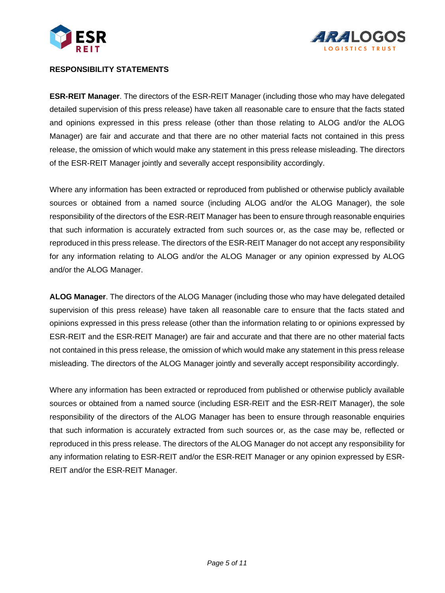



### **RESPONSIBILITY STATEMENTS**

**ESR-REIT Manager**. The directors of the ESR-REIT Manager (including those who may have delegated detailed supervision of this press release) have taken all reasonable care to ensure that the facts stated and opinions expressed in this press release (other than those relating to ALOG and/or the ALOG Manager) are fair and accurate and that there are no other material facts not contained in this press release, the omission of which would make any statement in this press release misleading. The directors of the ESR-REIT Manager jointly and severally accept responsibility accordingly.

Where any information has been extracted or reproduced from published or otherwise publicly available sources or obtained from a named source (including ALOG and/or the ALOG Manager), the sole responsibility of the directors of the ESR-REIT Manager has been to ensure through reasonable enquiries that such information is accurately extracted from such sources or, as the case may be, reflected or reproduced in this press release. The directors of the ESR-REIT Manager do not accept any responsibility for any information relating to ALOG and/or the ALOG Manager or any opinion expressed by ALOG and/or the ALOG Manager.

**ALOG Manager**. The directors of the ALOG Manager (including those who may have delegated detailed supervision of this press release) have taken all reasonable care to ensure that the facts stated and opinions expressed in this press release (other than the information relating to or opinions expressed by ESR-REIT and the ESR-REIT Manager) are fair and accurate and that there are no other material facts not contained in this press release, the omission of which would make any statement in this press release misleading. The directors of the ALOG Manager jointly and severally accept responsibility accordingly.

Where any information has been extracted or reproduced from published or otherwise publicly available sources or obtained from a named source (including ESR-REIT and the ESR-REIT Manager), the sole responsibility of the directors of the ALOG Manager has been to ensure through reasonable enquiries that such information is accurately extracted from such sources or, as the case may be, reflected or reproduced in this press release. The directors of the ALOG Manager do not accept any responsibility for any information relating to ESR-REIT and/or the ESR-REIT Manager or any opinion expressed by ESR-REIT and/or the ESR-REIT Manager.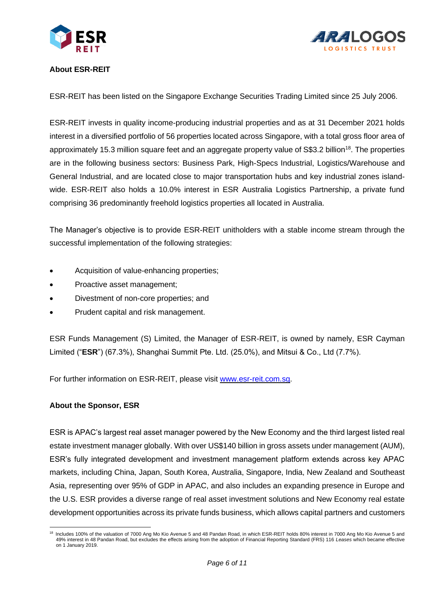



## **About ESR-REIT**

ESR-REIT has been listed on the Singapore Exchange Securities Trading Limited since 25 July 2006.

ESR-REIT invests in quality income-producing industrial properties and as at 31 December 2021 holds interest in a diversified portfolio of 56 properties located across Singapore, with a total gross floor area of approximately 15.3 million square feet and an aggregate property value of S\$3.2 billion<sup>18</sup>. The properties are in the following business sectors: Business Park, High-Specs Industrial, Logistics/Warehouse and General Industrial, and are located close to major transportation hubs and key industrial zones islandwide. ESR-REIT also holds a 10.0% interest in ESR Australia Logistics Partnership, a private fund comprising 36 predominantly freehold logistics properties all located in Australia.

The Manager's objective is to provide ESR-REIT unitholders with a stable income stream through the successful implementation of the following strategies:

- Acquisition of value-enhancing properties;
- Proactive asset management;
- Divestment of non-core properties; and
- Prudent capital and risk management.

ESR Funds Management (S) Limited, the Manager of ESR-REIT, is owned by namely, ESR Cayman Limited ("**ESR**") (67.3%), Shanghai Summit Pte. Ltd. (25.0%), and Mitsui & Co., Ltd (7.7%).

For further information on ESR-REIT, please visit [www.esr-reit.com.sg.](http://www.esr-reit.com.sg/)

#### **About the Sponsor, ESR**

ESR is APAC's largest real asset manager powered by the New Economy and the third largest listed real estate investment manager globally. With over US\$140 billion in gross assets under management (AUM), ESR's fully integrated development and investment management platform extends across key APAC markets, including China, Japan, South Korea, Australia, Singapore, India, New Zealand and Southeast Asia, representing over 95% of GDP in APAC, and also includes an expanding presence in Europe and the U.S. ESR provides a diverse range of real asset investment solutions and New Economy real estate development opportunities across its private funds business, which allows capital partners and customers

<sup>&</sup>lt;sup>18</sup> Includes 100% of the valuation of 7000 Ang Mo Kio Avenue 5 and 48 Pandan Road, in which ESR-REIT holds 80% interest in 7000 Ang Mo Kio Avenue 5 and 49% interest in 48 Pandan Road, but excludes the effects arising from the adoption of Financial Reporting Standard (FRS) 116 *Leases* which became effective on 1 January 2019.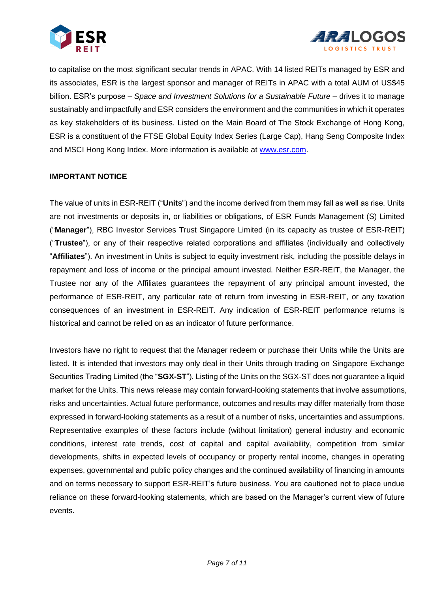



to capitalise on the most significant secular trends in APAC. With 14 listed REITs managed by ESR and its associates, ESR is the largest sponsor and manager of REITs in APAC with a total AUM of US\$45 billion. ESR's purpose – *Space and Investment Solutions for a Sustainable Future* – drives it to manage sustainably and impactfully and ESR considers the environment and the communities in which it operates as key stakeholders of its business. Listed on the Main Board of The Stock Exchange of Hong Kong, ESR is a constituent of the FTSE Global Equity Index Series (Large Cap), Hang Seng Composite Index and MSCI Hong Kong Index. More information is available at [www.esr.com.](http://www.esr.com/)

### **IMPORTANT NOTICE**

The value of units in ESR-REIT ("**Units**") and the income derived from them may fall as well as rise. Units are not investments or deposits in, or liabilities or obligations, of ESR Funds Management (S) Limited ("**Manager**"), RBC Investor Services Trust Singapore Limited (in its capacity as trustee of ESR-REIT) ("**Trustee**"), or any of their respective related corporations and affiliates (individually and collectively "**Affiliates**"). An investment in Units is subject to equity investment risk, including the possible delays in repayment and loss of income or the principal amount invested. Neither ESR-REIT, the Manager, the Trustee nor any of the Affiliates guarantees the repayment of any principal amount invested, the performance of ESR-REIT, any particular rate of return from investing in ESR-REIT, or any taxation consequences of an investment in ESR-REIT. Any indication of ESR-REIT performance returns is historical and cannot be relied on as an indicator of future performance.

Investors have no right to request that the Manager redeem or purchase their Units while the Units are listed. It is intended that investors may only deal in their Units through trading on Singapore Exchange Securities Trading Limited (the "**SGX-ST**"). Listing of the Units on the SGX-ST does not guarantee a liquid market for the Units. This news release may contain forward-looking statements that involve assumptions, risks and uncertainties. Actual future performance, outcomes and results may differ materially from those expressed in forward-looking statements as a result of a number of risks, uncertainties and assumptions. Representative examples of these factors include (without limitation) general industry and economic conditions, interest rate trends, cost of capital and capital availability, competition from similar developments, shifts in expected levels of occupancy or property rental income, changes in operating expenses, governmental and public policy changes and the continued availability of financing in amounts and on terms necessary to support ESR-REIT's future business. You are cautioned not to place undue reliance on these forward-looking statements, which are based on the Manager's current view of future events.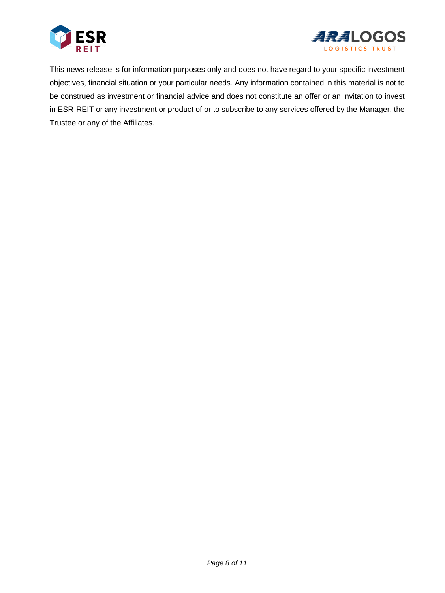



This news release is for information purposes only and does not have regard to your specific investment objectives, financial situation or your particular needs. Any information contained in this material is not to be construed as investment or financial advice and does not constitute an offer or an invitation to invest in ESR-REIT or any investment or product of or to subscribe to any services offered by the Manager, the Trustee or any of the Affiliates.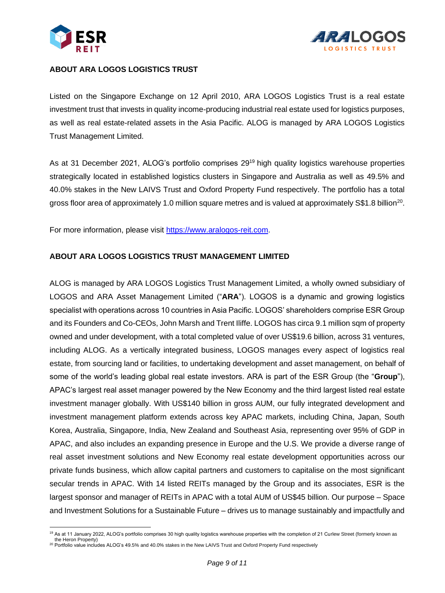



### **ABOUT ARA LOGOS LOGISTICS TRUST**

Listed on the Singapore Exchange on 12 April 2010, ARA LOGOS Logistics Trust is a real estate investment trust that invests in quality income-producing industrial real estate used for logistics purposes, as well as real estate-related assets in the Asia Pacific. ALOG is managed by ARA LOGOS Logistics Trust Management Limited.

As at 31 December 2021, ALOG's portfolio comprises 29<sup>19</sup> high quality logistics warehouse properties strategically located in established logistics clusters in Singapore and Australia as well as 49.5% and 40.0% stakes in the New LAIVS Trust and Oxford Property Fund respectively. The portfolio has a total gross floor area of approximately 1.0 million square metres and is valued at approximately S\$1.8 billion<sup>20</sup>.

For more information, please visit [https://www.aralogos-reit.com.](https://www.aralogos-reit.com/)

### **ABOUT ARA LOGOS LOGISTICS TRUST MANAGEMENT LIMITED**

ALOG is managed by ARA LOGOS Logistics Trust Management Limited, a wholly owned subsidiary of LOGOS and ARA Asset Management Limited ("**ARA**"). LOGOS is a dynamic and growing logistics specialist with operations across 10 countries in Asia Pacific. LOGOS' shareholders comprise ESR Group and its Founders and Co-CEOs, John Marsh and Trent Iliffe. LOGOS has circa 9.1 million sqm of property owned and under development, with a total completed value of over US\$19.6 billion, across 31 ventures, including ALOG. As a vertically integrated business, LOGOS manages every aspect of logistics real estate, from sourcing land or facilities, to undertaking development and asset management, on behalf of some of the world's leading global real estate investors. ARA is part of the ESR Group (the "**Group**"), APAC's largest real asset manager powered by the New Economy and the third largest listed real estate investment manager globally. With US\$140 billion in gross AUM, our fully integrated development and investment management platform extends across key APAC markets, including China, Japan, South Korea, Australia, Singapore, India, New Zealand and Southeast Asia, representing over 95% of GDP in APAC, and also includes an expanding presence in Europe and the U.S. We provide a diverse range of real asset investment solutions and New Economy real estate development opportunities across our private funds business, which allow capital partners and customers to capitalise on the most significant secular trends in APAC. With 14 listed REITs managed by the Group and its associates, ESR is the largest sponsor and manager of REITs in APAC with a total AUM of US\$45 billion. Our purpose – Space and Investment Solutions for a Sustainable Future – drives us to manage sustainably and impactfully and

<sup>&</sup>lt;sup>19</sup> As at 11 January 2022, ALOG's portfolio comprises 30 high quality logistics warehouse properties with the completion of 21 Curlew Street (formerly known as the Heron Property)

 $20$  Portfolio value includes ALOG's 49.5% and 40.0% stakes in the New LAIVS Trust and Oxford Property Fund respectively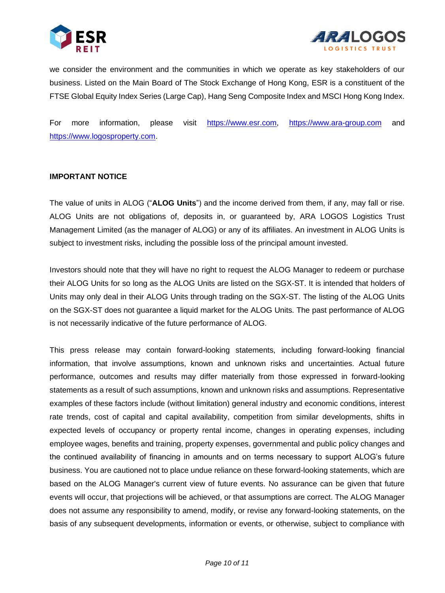



we consider the environment and the communities in which we operate as key stakeholders of our business. Listed on the Main Board of The Stock Exchange of Hong Kong, ESR is a constituent of the FTSE Global Equity Index Series (Large Cap), Hang Seng Composite Index and MSCI Hong Kong Index.

For more information, please visit [https://www.esr.com,](https://www.esr.com/) [https://www.ara-group.com](https://www.ara-group.com/) and [https://www.logosproperty.com.](https://www.logosproperty.com/)

### **IMPORTANT NOTICE**

The value of units in ALOG ("**ALOG Units**") and the income derived from them, if any, may fall or rise. ALOG Units are not obligations of, deposits in, or guaranteed by, ARA LOGOS Logistics Trust Management Limited (as the manager of ALOG) or any of its affiliates. An investment in ALOG Units is subject to investment risks, including the possible loss of the principal amount invested.

Investors should note that they will have no right to request the ALOG Manager to redeem or purchase their ALOG Units for so long as the ALOG Units are listed on the SGX-ST. It is intended that holders of Units may only deal in their ALOG Units through trading on the SGX-ST. The listing of the ALOG Units on the SGX-ST does not guarantee a liquid market for the ALOG Units. The past performance of ALOG is not necessarily indicative of the future performance of ALOG.

This press release may contain forward-looking statements, including forward-looking financial information, that involve assumptions, known and unknown risks and uncertainties. Actual future performance, outcomes and results may differ materially from those expressed in forward-looking statements as a result of such assumptions, known and unknown risks and assumptions. Representative examples of these factors include (without limitation) general industry and economic conditions, interest rate trends, cost of capital and capital availability, competition from similar developments, shifts in expected levels of occupancy or property rental income, changes in operating expenses, including employee wages, benefits and training, property expenses, governmental and public policy changes and the continued availability of financing in amounts and on terms necessary to support ALOG's future business. You are cautioned not to place undue reliance on these forward-looking statements, which are based on the ALOG Manager's current view of future events. No assurance can be given that future events will occur, that projections will be achieved, or that assumptions are correct. The ALOG Manager does not assume any responsibility to amend, modify, or revise any forward-looking statements, on the basis of any subsequent developments, information or events, or otherwise, subject to compliance with